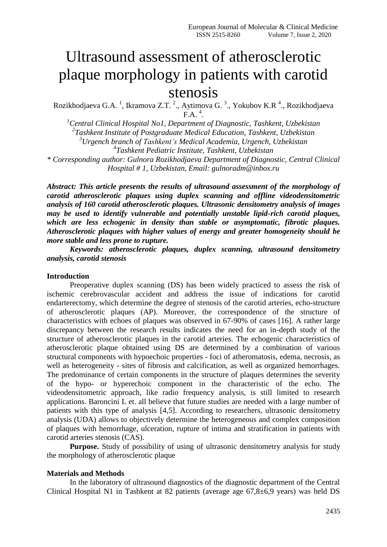# Ultrasound assessment of atherosclerotic plaque morphology in patients with carotid stenosis

Rozikhodjaeva G.A. <sup>1</sup>, Ikramova Z.T. <sup>2</sup>., Aytimova G. <sup>3</sup>., Yokubov K.R <sup>4</sup>., Rozikhodjaeva  $\Gamma$ A.<sup>4</sup>.

*Central Clinical Hospital No1, Department of Diagnostic, Tashkent, Uzbekistan Tashkent Institute of Postgraduate Medical Education, Tashkent, Uzbekistan Urgench branch of Tashkent's Medical Academia, Urgench, Uzbekistan Tashkent Pediatric Institute, Tashkent, Uzbekistan*

*\* Corresponding author: Gulnora Rozikhodjaeva Department of Diagnostic, Central Clinical Hospital # 1, Uzbekistan, Email: gulnoradm@inbox.ru*

*Abstract: This article presents the results of ultrasound assessment of the morphology of carotid atherosclerotic plaques using duplex scanning and offline videodensitometric analysis of 160 carotid atherosclerotic plaques. Ultrasonic densitometry analysis of images may be used to identify vulnerable and potentially unstable lipid-rich carotid plaques, which are less echogenic in density than stable or asymptomatic, fibrotic plaques. Atherosclerotic plaques with higher values of energy and greater homogeneity should be more stable and less prone to rupture.*

*Keywords: atherosclerotic plaques, duplex scanning, ultrasound densitometry analysis, carotid stenosis*

#### **Introduction**

Preoperative duplex scanning (DS) has been widely practiced to assess the risk of ischemic cerebrovascular accident and address the issue of indications for carotid endarterectomy, which determine the degree of stenosis of the carotid arteries, echo-structure of atherosclerotic plaques (AP). Moreover, the correspondence of the structure of characteristics with echoes of plaques was observed in 67-90% of cases [16]. A rather large discrepancy between the research results indicates the need for an in-depth study of the structure of atherosclerotic plaques in the carotid arteries. The echogenic characteristics of atherosclerotic plaque obtained using DS are determined by a combination of various structural components with hypoechoic properties - foci of atheromatosis, edema, necrosis, as well as heterogeneity - sites of fibrosis and calcification, as well as organized hemorrhages. The predominance of certain components in the structure of plaques determines the severity of the hypo- or hyperechoic component in the characteristic of the echo. The videodensitometric approach, like radio frequency analysis, is still limited to research applications. Baroncini L et. all believe that future studies are needed with a large number of patients with this type of analysis [4,5]. According to researchers, ultrasonic densitometry analysis (UDA) allows to objectively determine the heterogeneous and complex composition of plaques with hemorrhage, ulceration, rupture of intima and stratification in patients with carotid arteries stenosis (CAS).

Purpose. Study of possibility of using of ultrasonic densitometry analysis for study the morphology of atherosclerotic plaque

### **Materials and Methods**

In the laboratory of ultrasound diagnostics of the diagnostic department of the Central Clinical Hospital N1 in Tashkent at 82 patients (average age 67,8±6,9 years) was held DS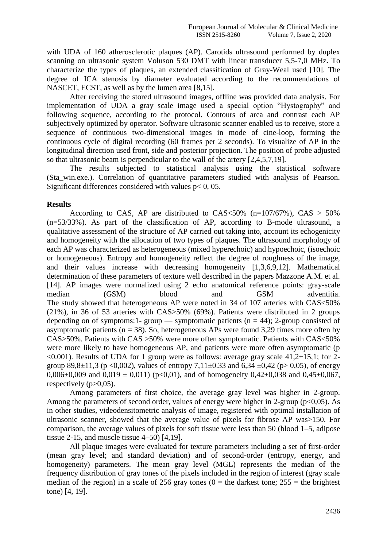with UDA of 160 atherosclerotic plaques (AP). Carotids ultrasound performed by duplex scanning on ultrasonic system Voluson 530 DMT with linear transducer 5,5-7,0 MHz. To characterize the types of plaques, an extended classification of Gray-Weal used [10]. The degree of ICA stenosis by diameter evaluated according to the recommendations of NASCET, ECST, as well as by the lumen area [8,15].

After receiving the stored ultrasound images, offline was provided data analysis. For implementation of UDA a gray scale image used a special option "Hystography" and following sequence, according to the protocol. Contours of area and contrast each AP subjectively optimized by operator. Software ultrasonic scanner enabled us to receive, store a sequence of continuous two-dimensional images in mode of cine-loop, forming the continuous cycle of digital recording (60 frames per 2 seconds). To visualize of AP in the longitudinal direction used front, side and posterior projection. The position of probe adjusted so that ultrasonic beam is perpendicular to the wall of the artery [2,4,5,7,19].

The results subjected to statistical analysis using the statistical software (Sta\_win.exe.). Correlation of quantitative parameters studied with analysis of Pearson. Significant differences considered with values  $p < 0$ , 05.

## **Results**

According to CAS, AP are distributed to  $CAS \leq 50\%$  (n=107/67%), CAS  $> 50\%$ (n=53/33%). As part of the classification of AP, according to B-mode ultrasound, a qualitative assessment of the structure of AP carried out taking into, account its echogenicity and homogeneity with the allocation of two types of plaques. The ultrasound morphology of each AP was characterized as heterogeneous (mixed hyperechoic) and hypoechoic, (isoechoic or homogeneous). Entropy and homogeneity reflect the degree of roughness of the image, and their values increase with decreasing homogeneity [1,3,6,9,12]. Mathematical determination of these parameters of texture well described in the papers Mazzone A.M. et al. [14]. AP images were normalized using 2 echo anatomical reference points: gray-scale median (GSM) blood and GSM adventitia. The study showed that heterogeneous AP were noted in 34 of 107 arteries with CAS<50% (21%), in 36 of 53 arteries with CAS>50% (69%). Patients were distributed in 2 groups depending on of symptoms:1- group — symptomatic patients ( $n = 44$ ); 2-group consisted of asymptomatic patients ( $n = 38$ ). So, heterogeneous APs were found 3,29 times more often by CAS>50%. Patients with CAS >50% were more often symptomatic. Patients with CAS<50% were more likely to have homogeneous AP, and patients were more often asymptomatic (p  $\leq 0.001$ ). Results of UDA for 1 group were as follows: average gray scale 41,2 $\pm$ 15,1; for 2group 89,8 $\pm$ 11,3 (p <0,002), values of entropy 7,11 $\pm$ 0.33 and 6,34  $\pm$ 0,42 (p> 0,05), of energy 0,006 $\pm$ 0,009 and 0,019  $\pm$  0,011) (p<0,01), and of homogeneity 0,42 $\pm$ 0,038 and 0,45 $\pm$ 0,067, respectively  $(p>0.05)$ .

Among parameters of first choice, the average gray level was higher in 2-group. Among the parameters of second order, values of energy were higher in 2-group ( $p<0.05$ ). As in other studies, videodensitometric analysis of image, registered with optimal installation of ultrasonic scanner, showed that the average value of pixels for fibrose AP was>150. For comparison, the average values of pixels for soft tissue were less than 50 (blood 1–5, adipose tissue 2-15, and muscle tissue 4–50) [4,19].

All plaque images were evaluated for texture parameters including a set of first-order (mean gray level; and standard deviation) and of second-order (entropy, energy, and homogeneity) parameters. The mean gray level (MGL) represents the median of the frequency distribution of gray tones of the pixels included in the region of interest (gray scale median of the region) in a scale of 256 gray tones ( $0 =$  the darkest tone; 255 = the brightest tone) [4, 19].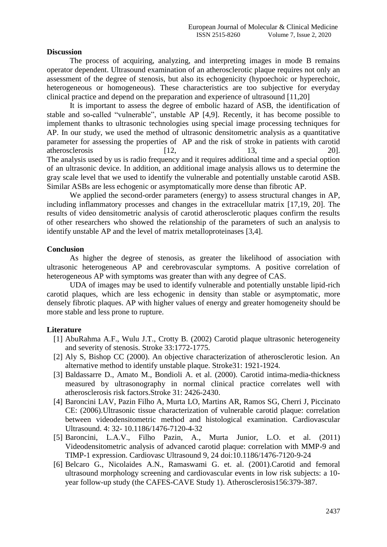## **Discussion**

The process of acquiring, analyzing, and interpreting images in mode B remains operator dependent. Ultrasound examination of an atherosclerotic plaque requires not only an assessment of the degree of stenosis, but also its echogenicity (hypoechoic or hyperechoic, heterogeneous or homogeneous). These characteristics are too subjective for everyday clinical practice and depend on the preparation and experience of ultrasound [11,20]

It is important to assess the degree of embolic hazard of ASB, the identification of stable and so-called "vulnerable", unstable AP [4,9]. Recently, it has become possible to implement thanks to ultrasonic technologies using special image processing techniques for AP. In our study, we used the method of ultrasonic densitometric analysis as a quantitative parameter for assessing the properties of AP and the risk of stroke in patients with carotid atherosclerosis [12, 13, 20]. The analysis used by us is radio frequency and it requires additional time and a special option of an ultrasonic device. In addition, an additional image analysis allows us to determine the gray scale level that we used to identify the vulnerable and potentially unstable carotid ASB. Similar ASBs are less echogenic or asymptomatically more dense than fibrotic AP.

We applied the second-order parameters (energy) to assess structural changes in AP, including inflammatory processes and changes in the extracellular matrix [17,19, 20]. The results of video densitometric analysis of carotid atherosclerotic plaques confirm the results of other researchers who showed the relationship of the parameters of such an analysis to identify unstable AP and the level of matrix metalloproteinases [3,4].

### **Conclusion**

As higher the degree of stenosis, as greater the likelihood of association with ultrasonic heterogeneous AP and cerebrovascular symptoms. A positive correlation of heterogeneous AP with symptoms was greater than with any degree of CAS.

UDA of images may be used to identify vulnerable and potentially unstable lipid-rich carotid plaques, which are less echogenic in density than stable or asymptomatic, more densely fibrotic plaques. AP with higher values of energy and greater homogeneity should be more stable and less prone to rupture.

## **Literature**

- [1] AbuRahma A.F., Wulu J.T., Crotty B. (2002) Carotid plaque ultrasonic heterogeneity and severity of stenosis. Stroke 33:1772-1775.
- [2] Aly S, Bishop CC (2000). An objective characterization of atherosclerotic lesion. An alternative method to identify unstable plaque. Stroke31: 1921-1924.
- [3] Baldassarre D., Amato M., Bondioli A. et al. (2000). Carotid intima-media-thickness measured by ultrasonography in normal clinical practice correlates well with atherosclerosis risk factors.Stroke 31: 2426-2430.
- [4] Baroncini LAV, Pazin Filho A, Murta LO, Martins AR, Ramos SG, Cherri J, Piccinato CE: (2006).Ultrasonic tissue characterization of vulnerable carotid plaque: correlation between videodensitometric method and histological examination. Cardiovascular Ultrasound. 4: 32- 10.1186/1476-7120-4-32
- [5] Baroncini, L.A.V., Filho Pazin, A., Murta Junior, L.O. et al. (2011) Videodensitometric analysis of advanced carotid plaque: correlation with MMP-9 and TIMP-1 expression. Cardiovasc Ultrasound 9, 24 doi:10.1186/1476-7120-9-24
- [6] Belcaro G., Nicolaides A.N., Ramaswami G. et. al. (2001).Carotid and femoral ultrasound morphology screening and cardiovascular events in low risk subjects: a 10 year follow-up study (the CAFES-CAVE Study 1). Atherosclerosis156:379-387.